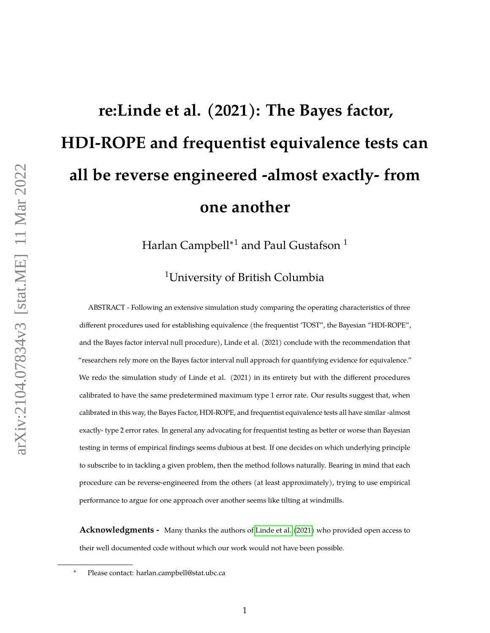# <span id="page-0-0"></span>**re:Linde et al. (2021): The Bayes factor, HDI-ROPE and frequentist equivalence tests can all be reverse engineered -almost exactly- from one another**

Harlan Campbell<sup>∗1</sup> and Paul Gustafson<sup>1</sup>

<sup>1</sup>University of British Columbia

ABSTRACT - Following an extensive simulation study comparing the operating characteristics of three different procedures used for establishing equivalence (the frequentist 'TOST", the Bayesian "HDI-ROPE", and the Bayes factor interval null procedure), Linde et al. (2021) conclude with the recommendation that "researchers rely more on the Bayes factor interval null approach for quantifying evidence for equivalence." We redo the simulation study of Linde et al. (2021) in its entirety but with the different procedures calibrated to have the same predetermined maximum type 1 error rate. Our results suggest that, when calibrated in this way, the Bayes Factor, HDI-ROPE, and frequentist equivalence tests all have similar -almost exactly- type 2 error rates. In general any advocating for frequentist testing as better or worse than Bayesian testing in terms of empirical findings seems dubious at best. If one decides on which underlying principle to subscribe to in tackling a given problem, then the method follows naturally. Bearing in mind that each procedure can be reverse-engineered from the others (at least approximately), trying to use empirical performance to argue for one approach over another seems like tilting at windmills.

**Acknowledgments -** Many thanks the authors of [Linde et al.](#page-19-0) [\(2021\)](#page-19-0) who provided open access to their well documented code without which our work would not have been possible.

<sup>∗</sup> Please contact: harlan.campbell@stat.ubc.ca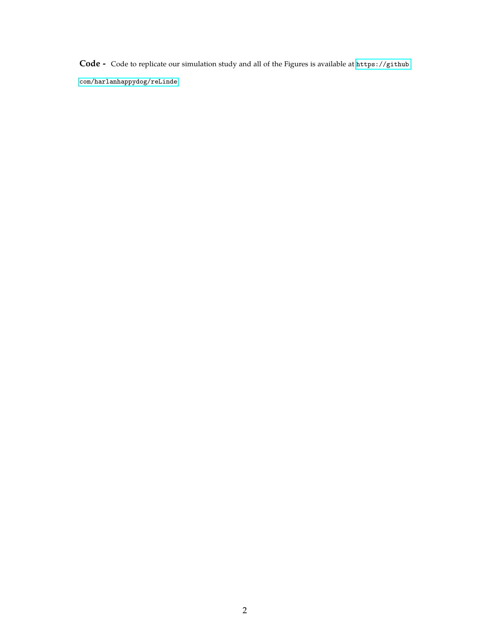**Code -** Code to replicate our simulation study and all of the Figures is available at [https://github.](https://github.com/harlanhappydog/reLinde)

[com/harlanhappydog/reLinde](https://github.com/harlanhappydog/reLinde).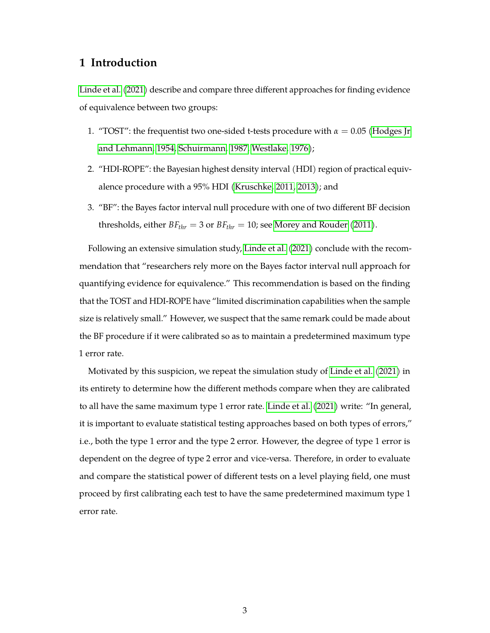# **1 Introduction**

[Linde et al.](#page-19-0) [\(2021\)](#page-19-0) describe and compare three different approaches for finding evidence of equivalence between two groups:

- 1. "TOST": the frequentist two one-sided t-tests procedure with  $\alpha = 0.05$  [\(Hodges Jr](#page-18-0) [and Lehmann, 1954,](#page-18-0) [Schuirmann, 1987,](#page-20-0) [Westlake, 1976\)](#page-20-1);
- 2. "HDI-ROPE": the Bayesian highest density interval (HDI) region of practical equivalence procedure with a 95% HDI [\(Kruschke, 2011,](#page-18-1) [2013\)](#page-19-1); and
- 3. "BF": the Bayes factor interval null procedure with one of two different BF decision thresholds, either  $BF_{thr} = 3$  or  $BF_{thr} = 10$ ; see [Morey and Rouder](#page-19-2) [\(2011\)](#page-19-2).

Following an extensive simulation study, [Linde et al.](#page-19-0) [\(2021\)](#page-19-0) conclude with the recommendation that "researchers rely more on the Bayes factor interval null approach for quantifying evidence for equivalence." This recommendation is based on the finding that the TOST and HDI-ROPE have "limited discrimination capabilities when the sample size is relatively small." However, we suspect that the same remark could be made about the BF procedure if it were calibrated so as to maintain a predetermined maximum type 1 error rate.

Motivated by this suspicion, we repeat the simulation study of [Linde et al.](#page-19-0) [\(2021\)](#page-19-0) in its entirety to determine how the different methods compare when they are calibrated to all have the same maximum type 1 error rate. [Linde et al.](#page-19-0) [\(2021\)](#page-19-0) write: "In general, it is important to evaluate statistical testing approaches based on both types of errors," i.e., both the type 1 error and the type 2 error. However, the degree of type 1 error is dependent on the degree of type 2 error and vice-versa. Therefore, in order to evaluate and compare the statistical power of different tests on a level playing field, one must proceed by first calibrating each test to have the same predetermined maximum type 1 error rate.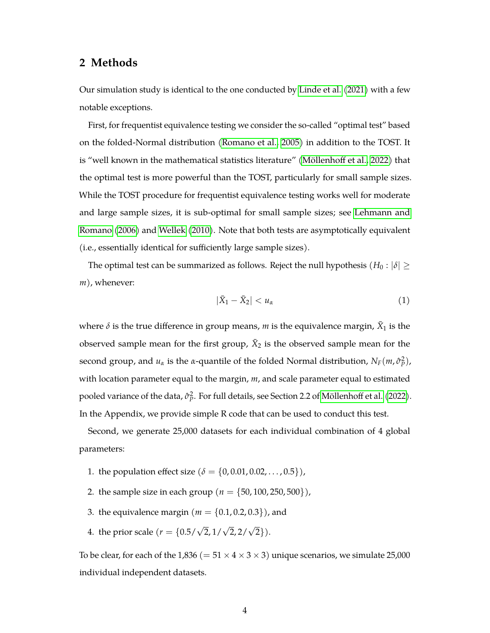# **2 Methods**

Our simulation study is identical to the one conducted by [Linde et al.](#page-19-0) [\(2021\)](#page-19-0) with a few notable exceptions.

First, for frequentist equivalence testing we consider the so-called "optimal test" based on the folded-Normal distribution [\(Romano et al., 2005\)](#page-20-2) in addition to the TOST. It is "well known in the mathematical statistics literature" [\(Möllenhoff et al., 2022\)](#page-19-3) that the optimal test is more powerful than the TOST, particularly for small sample sizes. While the TOST procedure for frequentist equivalence testing works well for moderate and large sample sizes, it is sub-optimal for small sample sizes; see [Lehmann and](#page-19-4) [Romano](#page-19-4) [\(2006\)](#page-19-4) and [Wellek](#page-20-3) [\(2010\)](#page-20-3). Note that both tests are asymptotically equivalent (i.e., essentially identical for sufficiently large sample sizes).

The optimal test can be summarized as follows. Reject the null hypothesis  $(H_0: |\delta| \geq$ *m*), whenever:

$$
|\bar{X}_1 - \bar{X}_2| < u_\alpha \tag{1}
$$

where  $\delta$  is the true difference in group means,  $m$  is the equivalence margin,  $\bar{X}_1$  is the observed sample mean for the first group,  $\bar{X}_2$  is the observed sample mean for the second group, and  $u_\alpha$  is the *α*-quantile of the folded Normal distribution,  $N_F(m, \hat{\sigma}_P^2)$ , with location parameter equal to the margin, *m*, and scale parameter equal to estimated pooled variance of the data,  $\hat{\sigma}_{p}^{2}$ . For full details, see Section 2.2 of [Möllenhoff et al.](#page-19-3) [\(2022\)](#page-19-3). In the Appendix, we provide simple R code that can be used to conduct this test.

Second, we generate 25,000 datasets for each individual combination of 4 global parameters:

- 1. the population effect size ( $\delta = \{0, 0.01, 0.02, ..., 0.5\}$ ),
- 2. the sample size in each group ( $n = \{50, 100, 250, 500\}$ ),
- 3. the equivalence margin ( $m = \{0.1, 0.2, 0.3\}$ ), and
- 4. the prior scale ( $r = \{0.5/\sqrt{2}, 1/\sqrt{2}, 2/\sqrt{2}\}$ ).

To be clear, for each of the 1,836 (=  $51 \times 4 \times 3 \times 3$ ) unique scenarios, we simulate 25,000 individual independent datasets.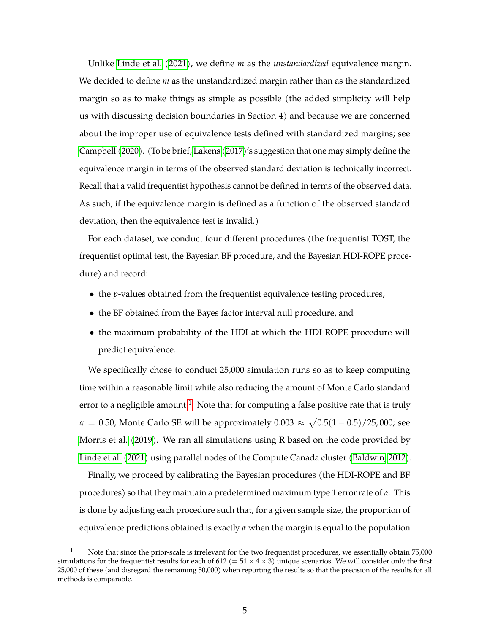Unlike [Linde et al.](#page-19-0) [\(2021\)](#page-19-0), we define *m* as the *unstandardized* equivalence margin. We decided to define *m* as the unstandardized margin rather than as the standardized margin so as to make things as simple as possible (the added simplicity will help us with discussing decision boundaries in Section 4) and because we are concerned about the improper use of equivalence tests defined with standardized margins; see [Campbell](#page-18-2) [\(2020\)](#page-18-2). (To be brief, [Lakens](#page-19-5) [\(2017\)](#page-19-5)'s suggestion that one may simply define the equivalence margin in terms of the observed standard deviation is technically incorrect. Recall that a valid frequentist hypothesis cannot be defined in terms of the observed data. As such, if the equivalence margin is defined as a function of the observed standard deviation, then the equivalence test is invalid.)

For each dataset, we conduct four different procedures (the frequentist TOST, the frequentist optimal test, the Bayesian BF procedure, and the Bayesian HDI-ROPE procedure) and record:

- the *p*-values obtained from the frequentist equivalence testing procedures,
- the BF obtained from the Bayes factor interval null procedure, and
- the maximum probability of the HDI at which the HDI-ROPE procedure will predict equivalence.

We specifically chose to conduct 25,000 simulation runs so as to keep computing time within a reasonable limit while also reducing the amount of Monte Carlo standard error to a negligible amount  $^1$  $^1$ . Note that for computing a false positive rate that is truly  $\alpha\,=\,0.50$ , Monte Carlo SE will be approximately  $0.003\,\approx\,\sqrt{0.5(1-0.5)/25,000}$ ; see [Morris et al.](#page-19-6) [\(2019\)](#page-19-6). We ran all simulations using R based on the code provided by [Linde et al.](#page-19-0) [\(2021\)](#page-19-0) using parallel nodes of the Compute Canada cluster [\(Baldwin, 2012\)](#page-17-0).

Finally, we proceed by calibrating the Bayesian procedures (the HDI-ROPE and BF procedures) so that they maintain a predetermined maximum type 1 error rate of *α*. This is done by adjusting each procedure such that, for a given sample size, the proportion of equivalence predictions obtained is exactly *α* when the margin is equal to the population

<sup>1</sup> Note that since the prior-scale is irrelevant for the two frequentist procedures, we essentially obtain 75,000 simulations for the frequentist results for each of 612 (=  $51 \times 4 \times 3$ ) unique scenarios. We will consider only the first 25,000 of these (and disregard the remaining 50,000) when reporting the results so that the precision of the results for all methods is comparable.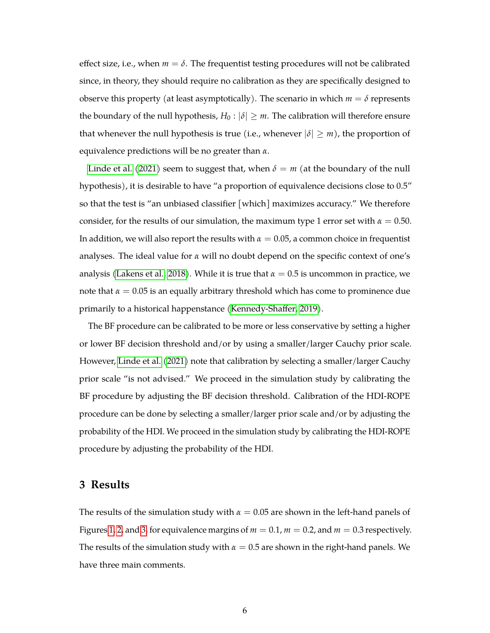effect size, i.e., when  $m = \delta$ . The frequentist testing procedures will not be calibrated since, in theory, they should require no calibration as they are specifically designed to observe this property (at least asymptotically). The scenario in which  $m = \delta$  represents the boundary of the null hypothesis,  $H_0: |\delta| \geq m$ . The calibration will therefore ensure that whenever the null hypothesis is true (i.e., whenever  $|\delta| \geq m$ ), the proportion of equivalence predictions will be no greater than *α*.

[Linde et al.](#page-19-0) [\(2021\)](#page-19-0) seem to suggest that, when  $\delta = m$  (at the boundary of the null hypothesis), it is desirable to have "a proportion of equivalence decisions close to 0.5" so that the test is "an unbiased classifier [which] maximizes accuracy." We therefore consider, for the results of our simulation, the maximum type 1 error set with  $\alpha = 0.50$ . In addition, we will also report the results with  $\alpha = 0.05$ , a common choice in frequentist analyses. The ideal value for *α* will no doubt depend on the specific context of one's analysis [\(Lakens et al., 2018\)](#page-19-7). While it is true that  $\alpha = 0.5$  is uncommon in practice, we note that  $\alpha = 0.05$  is an equally arbitrary threshold which has come to prominence due primarily to a historical happenstance [\(Kennedy-Shaffer, 2019\)](#page-18-3).

The BF procedure can be calibrated to be more or less conservative by setting a higher or lower BF decision threshold and/or by using a smaller/larger Cauchy prior scale. However, [Linde et al.](#page-19-0) [\(2021\)](#page-19-0) note that calibration by selecting a smaller/larger Cauchy prior scale "is not advised." We proceed in the simulation study by calibrating the BF procedure by adjusting the BF decision threshold. Calibration of the HDI-ROPE procedure can be done by selecting a smaller/larger prior scale and/or by adjusting the probability of the HDI. We proceed in the simulation study by calibrating the HDI-ROPE procedure by adjusting the probability of the HDI.

## **3 Results**

The results of the simulation study with  $\alpha = 0.05$  are shown in the left-hand panels of Figures [1,](#page-8-0) [2,](#page-9-0) and [3,](#page-10-0) for equivalence margins of  $m = 0.1$ ,  $m = 0.2$ , and  $m = 0.3$  respectively. The results of the simulation study with  $\alpha = 0.5$  are shown in the right-hand panels. We have three main comments.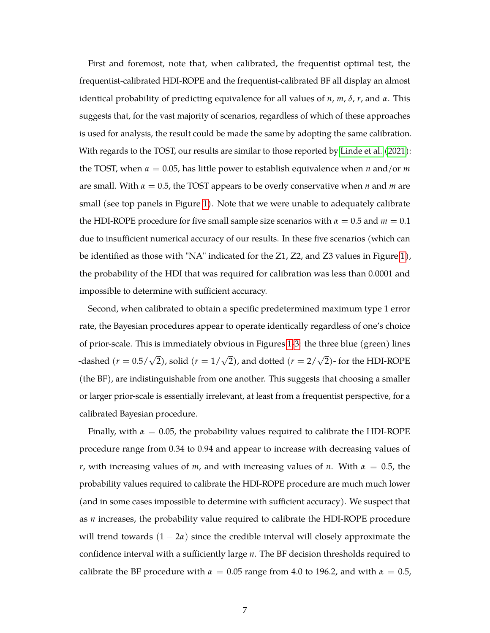First and foremost, note that, when calibrated, the frequentist optimal test, the frequentist-calibrated HDI-ROPE and the frequentist-calibrated BF all display an almost identical probability of predicting equivalence for all values of *n*, *m*, *δ*, *r*, and *α*. This suggests that, for the vast majority of scenarios, regardless of which of these approaches is used for analysis, the result could be made the same by adopting the same calibration. With regards to the TOST, our results are similar to those reported by [Linde et al.](#page-19-0) [\(2021\)](#page-19-0): the TOST, when  $\alpha = 0.05$ , has little power to establish equivalence when *n* and/or *m* are small. With *α* = 0.5, the TOST appears to be overly conservative when *n* and *m* are small (see top panels in Figure [1\)](#page-8-0). Note that we were unable to adequately calibrate the HDI-ROPE procedure for five small sample size scenarios with  $\alpha = 0.5$  and  $m = 0.1$ due to insufficient numerical accuracy of our results. In these five scenarios (which can be identified as those with "NA" indicated for the Z1, Z2, and Z3 values in Figure [1\)](#page-8-0), the probability of the HDI that was required for calibration was less than 0.0001 and impossible to determine with sufficient accuracy.

Second, when calibrated to obtain a specific predetermined maximum type 1 error rate, the Bayesian procedures appear to operate identically regardless of one's choice of prior-scale. This is immediately obvious in Figures [1-](#page-8-0)[3:](#page-10-0) the three blue (green) lines -dashed  $(r = 0.5/\sqrt{2})$ , solid  $(r = 1/\sqrt{2})$ , and dotted  $(r = 2/\sqrt{2})$ - for the HDI-ROPE (the BF), are indistinguishable from one another. This suggests that choosing a smaller or larger prior-scale is essentially irrelevant, at least from a frequentist perspective, for a calibrated Bayesian procedure.

Finally, with  $\alpha = 0.05$ , the probability values required to calibrate the HDI-ROPE procedure range from 0.34 to 0.94 and appear to increase with decreasing values of *r*, with increasing values of *m*, and with increasing values of *n*. With  $\alpha = 0.5$ , the probability values required to calibrate the HDI-ROPE procedure are much much lower (and in some cases impossible to determine with sufficient accuracy). We suspect that as *n* increases, the probability value required to calibrate the HDI-ROPE procedure will trend towards  $(1 - 2\alpha)$  since the credible interval will closely approximate the confidence interval with a sufficiently large *n*. The BF decision thresholds required to calibrate the BF procedure with  $\alpha = 0.05$  range from 4.0 to 196.2, and with  $\alpha = 0.5$ ,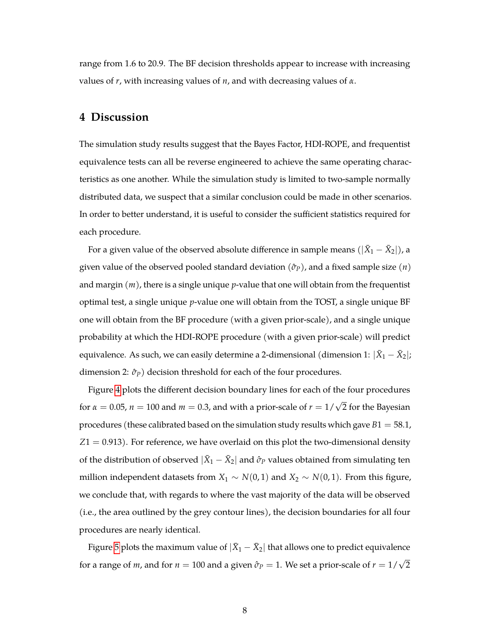range from 1.6 to 20.9. The BF decision thresholds appear to increase with increasing values of *r*, with increasing values of *n*, and with decreasing values of *α*.

#### **4 Discussion**

The simulation study results suggest that the Bayes Factor, HDI-ROPE, and frequentist equivalence tests can all be reverse engineered to achieve the same operating characteristics as one another. While the simulation study is limited to two-sample normally distributed data, we suspect that a similar conclusion could be made in other scenarios. In order to better understand, it is useful to consider the sufficient statistics required for each procedure.

For a given value of the observed absolute difference in sample means  $(|\bar{X}_1 - \bar{X}_2|)$ , a given value of the observed pooled standard deviation (*σ*ˆ*P*), and a fixed sample size (*n*) and margin (*m*), there is a single unique *p*-value that one will obtain from the frequentist optimal test, a single unique *p*-value one will obtain from the TOST, a single unique BF one will obtain from the BF procedure (with a given prior-scale), and a single unique probability at which the HDI-ROPE procedure (with a given prior-scale) will predict equivalence. As such, we can easily determine a 2-dimensional (dimension  $1$ :  $|\bar{X}_1 - \bar{X}_2|$ ; dimension 2:  $\hat{\sigma}_P$ ) decision threshold for each of the four procedures.

Figure [4](#page-11-0) plots the different decision boundary lines for each of the four procedures for  $\alpha = 0.05$ ,  $n = 100$  and  $m = 0.3$ , and with a prior-scale of  $r = 1/\sqrt{2}$  for the Bayesian procedures (these calibrated based on the simulation study results which gave *B*1 = 58.1, *Z*1 = 0.913). For reference, we have overlaid on this plot the two-dimensional density of the distribution of observed  $|\bar{X}_1 - \bar{X}_2|$  and  $\hat{\sigma}_P$  values obtained from simulating ten million independent datasets from  $X_1$  ∼  $N(0, 1)$  and  $X_2$  ∼  $N(0, 1)$ . From this figure, we conclude that, with regards to where the vast majority of the data will be observed (i.e., the area outlined by the grey contour lines), the decision boundaries for all four procedures are nearly identical.

Figure [5](#page-12-0) plots the maximum value of  $|\bar X_1 - \bar X_2|$  that allows one to predict equivalence for a range of *m,* and for  $n = 100$  and a given  $\hat{\sigma}_P = 1$ . We set a prior-scale of  $r = 1/\sqrt{2}$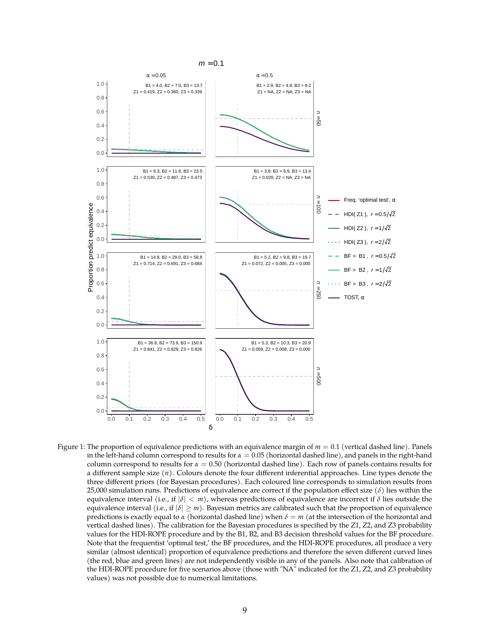

<span id="page-8-0"></span>Figure 1: The proportion of equivalence predictions with an equivalence margin of  $m = 0.1$  (vertical dashed line). Panels in the left-hand column correspond to results for  $\alpha = 0.05$  (horizontal dashed line), and panels in the right-hand column correspond to results for *α* = 0.50 (horizontal dashed line). Each row of panels contains results for a different sample size (*n*). Colours denote the four different inferential approaches. Line types denote the three different priors (for Bayesian procedures). Each coloured line corresponds to simulation results from 25,000 simulation runs. Predictions of equivalence are correct if the population effect size (*δ*) lies within the equivalence interval (i.e., if  $|\delta| < m$ ), whereas predictions of equivalence are incorrect if  $\delta$  lies outside the equivalence interval (i.e., if  $|\delta| \geq m$ ). Bayesian metrics are calibrated such that the proportion of equivalence predictions is exactly equal to *α* (horizontal dashed line) when *δ* = *m* (at the intersection of the horizontal and vertical dashed lines). The calibration for the Bayesian procedures is specified by the Z1, Z2, and Z3 probability values for the HDI-ROPE procedure and by the B1, B2, and B3 decision threshold values for the BF procedure. Note that the frequentist 'optimal test,' the BF procedures, and the HDI-ROPE procedures, all produce a very similar (almost identical) proportion of equivalence predictions and therefore the seven different curved lines (the red, blue and green lines) are not independently visible in any of the panels. Also note that calibration of the HDI-ROPE procedure for five scenarios above (those with "NA" indicated for the Z1, Z2, and Z3 probability values) was not possible due to numerical limitations.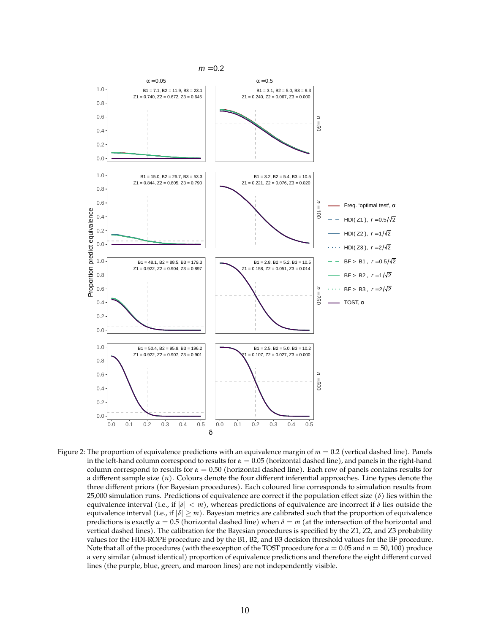

<span id="page-9-0"></span>Figure 2: The proportion of equivalence predictions with an equivalence margin of  $m = 0.2$  (vertical dashed line). Panels in the left-hand column correspond to results for *α* = 0.05 (horizontal dashed line), and panels in the right-hand column correspond to results for *α* = 0.50 (horizontal dashed line). Each row of panels contains results for a different sample size (*n*). Colours denote the four different inferential approaches. Line types denote the three different priors (for Bayesian procedures). Each coloured line corresponds to simulation results from 25,000 simulation runs. Predictions of equivalence are correct if the population effect size (*δ*) lies within the equivalence interval (i.e., if  $|\delta| < m$ ), whereas predictions of equivalence are incorrect if  $\delta$  lies outside the equivalence interval (i.e., if  $|\delta| \geq m$ ). Bayesian metrics are calibrated such that the proportion of equivalence predictions is exactly *α* = 0.5 (horizontal dashed line) when *δ* = *m* (at the intersection of the horizontal and vertical dashed lines). The calibration for the Bayesian procedures is specified by the Z1, Z2, and Z3 probability values for the HDI-ROPE procedure and by the B1, B2, and B3 decision threshold values for the BF procedure. Note that all of the procedures (with the exception of the TOST procedure for *α* = 0.05 and *n* = 50, 100) produce a very similar (almost identical) proportion of equivalence predictions and therefore the eight different curved lines (the purple, blue, green, and maroon lines) are not independently visible.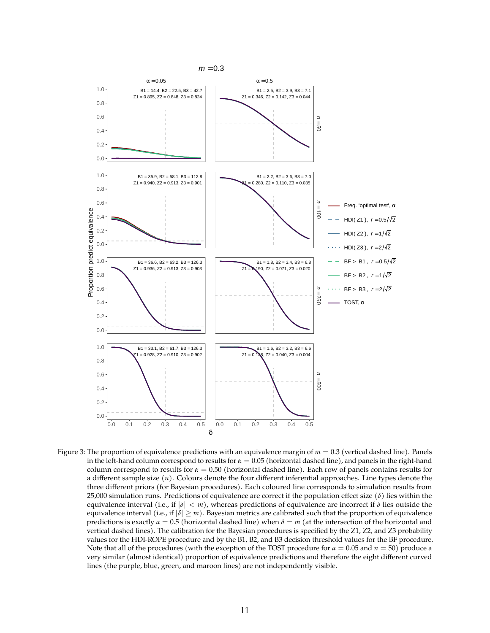

<span id="page-10-0"></span>Figure 3: The proportion of equivalence predictions with an equivalence margin of  $m = 0.3$  (vertical dashed line). Panels in the left-hand column correspond to results for *α* = 0.05 (horizontal dashed line), and panels in the right-hand column correspond to results for *α* = 0.50 (horizontal dashed line). Each row of panels contains results for a different sample size (*n*). Colours denote the four different inferential approaches. Line types denote the three different priors (for Bayesian procedures). Each coloured line corresponds to simulation results from 25,000 simulation runs. Predictions of equivalence are correct if the population effect size (*δ*) lies within the equivalence interval (i.e., if  $|\delta| < m$ ), whereas predictions of equivalence are incorrect if  $\delta$  lies outside the equivalence interval (i.e., if  $|\delta| \geq m$ ). Bayesian metrics are calibrated such that the proportion of equivalence predictions is exactly *α* = 0.5 (horizontal dashed line) when *δ* = *m* (at the intersection of the horizontal and vertical dashed lines). The calibration for the Bayesian procedures is specified by the Z1, Z2, and Z3 probability values for the HDI-ROPE procedure and by the B1, B2, and B3 decision threshold values for the BF procedure. Note that all of the procedures (with the exception of the TOST procedure for  $\alpha = 0.05$  and  $n = 50$ ) produce a very similar (almost identical) proportion of equivalence predictions and therefore the eight different curved lines (the purple, blue, green, and maroon lines) are not independently visible.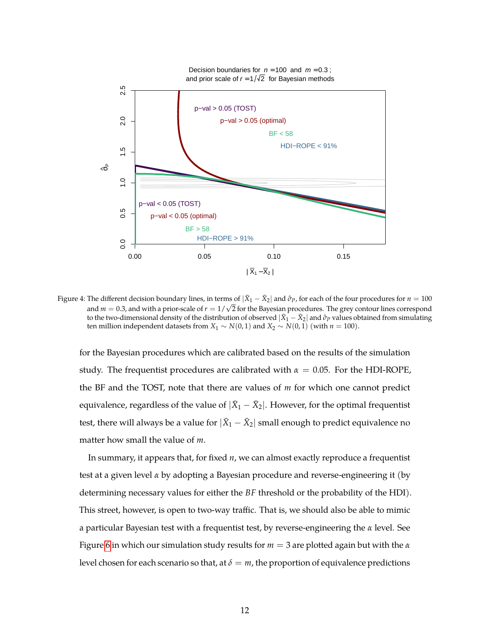

Figure 4: The different decision boundary lines, in terms of  $|\bar X_1-\bar X_2|$  and  $\hat\sigma_P$ , for each of the four procedures for  $n=100$ and *m* = 0.3, and with a prior-scale of  $r = 1/\sqrt{2}$  for the Bayesian procedures. The grey contour lines correspond to the two-dimensional density of the distribution of observed  $|\bar{X}_1-\bar{X}_2|$  and  $\hat{\sigma}_P$  values obtained from simulating ten million independent datasets from  $X_1 \sim N(0, 1)$  and  $X_2 \sim N(0, 1)$  (with  $n = 100$ ).

<span id="page-11-0"></span>for the Bayesian procedures which are calibrated based on the results of the simulation study. The frequentist procedures are calibrated with  $\alpha = 0.05$ . For the HDI-ROPE, the BF and the TOST, note that there are values of *m* for which one cannot predict equivalence, regardless of the value of  $|\bar X_1 - \bar X_2|$ . However, for the optimal frequentist test, there will always be a value for  $|\bar X_1 - \bar X_2|$  small enough to predict equivalence no matter how small the value of *m*.

In summary, it appears that, for fixed *n*, we can almost exactly reproduce a frequentist test at a given level *α* by adopting a Bayesian procedure and reverse-engineering it (by determining necessary values for either the *BF* threshold or the probability of the HDI). This street, however, is open to two-way traffic. That is, we should also be able to mimic a particular Bayesian test with a frequentist test, by reverse-engineering the *α* level. See Figure [6](#page-15-0) in which our simulation study results for *m* = 3 are plotted again but with the *α* level chosen for each scenario so that, at  $\delta = m$ , the proportion of equivalence predictions

12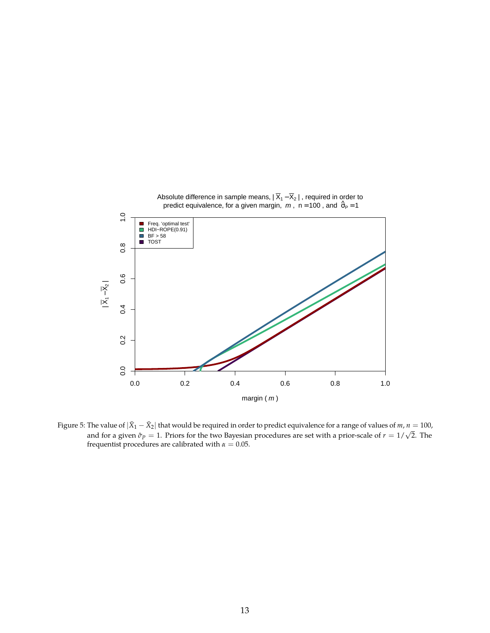

<span id="page-12-0"></span>Figure 5: The value of  $|\bar{X}_1 - \bar{X}_2|$  that would be required in order to predict equivalence for a range of values of  $m, n = 100$ , and for a given  $\hat{\sigma}_P = 1$ . Priors for the two Bayesian procedures are set with a priorfrequentist procedures are calibrated with  $\alpha = 0.05$ .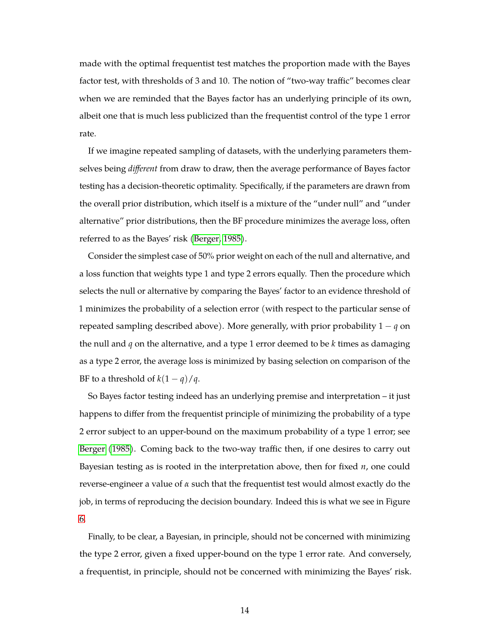made with the optimal frequentist test matches the proportion made with the Bayes factor test, with thresholds of 3 and 10. The notion of "two-way traffic" becomes clear when we are reminded that the Bayes factor has an underlying principle of its own, albeit one that is much less publicized than the frequentist control of the type 1 error rate.

If we imagine repeated sampling of datasets, with the underlying parameters themselves being *different* from draw to draw, then the average performance of Bayes factor testing has a decision-theoretic optimality. Specifically, if the parameters are drawn from the overall prior distribution, which itself is a mixture of the "under null" and "under alternative" prior distributions, then the BF procedure minimizes the average loss, often referred to as the Bayes' risk [\(Berger, 1985\)](#page-18-4).

Consider the simplest case of 50% prior weight on each of the null and alternative, and a loss function that weights type 1 and type 2 errors equally. Then the procedure which selects the null or alternative by comparing the Bayes' factor to an evidence threshold of 1 minimizes the probability of a selection error (with respect to the particular sense of repeated sampling described above). More generally, with prior probability 1 − *q* on the null and *q* on the alternative, and a type 1 error deemed to be *k* times as damaging as a type 2 error, the average loss is minimized by basing selection on comparison of the BF to a threshold of  $k(1 - q)/q$ .

So Bayes factor testing indeed has an underlying premise and interpretation – it just happens to differ from the frequentist principle of minimizing the probability of a type 2 error subject to an upper-bound on the maximum probability of a type 1 error; see [Berger](#page-18-4) [\(1985\)](#page-18-4). Coming back to the two-way traffic then, if one desires to carry out Bayesian testing as is rooted in the interpretation above, then for fixed *n*, one could reverse-engineer a value of *α* such that the frequentist test would almost exactly do the job, in terms of reproducing the decision boundary. Indeed this is what we see in Figure [6.](#page-15-0)

Finally, to be clear, a Bayesian, in principle, should not be concerned with minimizing the type 2 error, given a fixed upper-bound on the type 1 error rate. And conversely, a frequentist, in principle, should not be concerned with minimizing the Bayes' risk.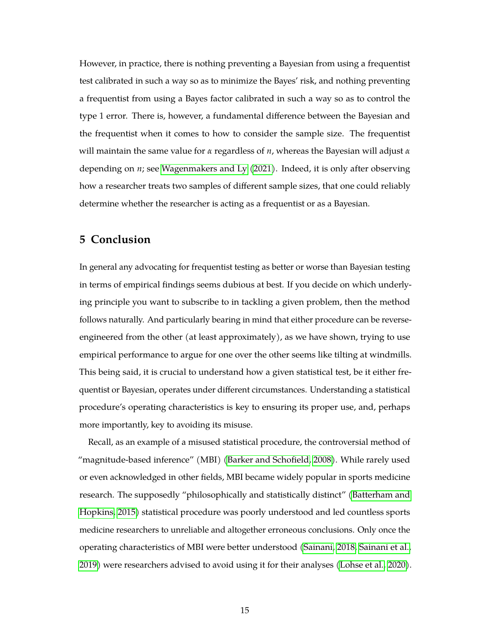However, in practice, there is nothing preventing a Bayesian from using a frequentist test calibrated in such a way so as to minimize the Bayes' risk, and nothing preventing a frequentist from using a Bayes factor calibrated in such a way so as to control the type 1 error. There is, however, a fundamental difference between the Bayesian and the frequentist when it comes to how to consider the sample size. The frequentist will maintain the same value for *α* regardless of *n*, whereas the Bayesian will adjust *α* depending on *n*; see [Wagenmakers and Ly](#page-20-4) [\(2021\)](#page-20-4). Indeed, it is only after observing how a researcher treats two samples of different sample sizes, that one could reliably determine whether the researcher is acting as a frequentist or as a Bayesian.

#### **5 Conclusion**

In general any advocating for frequentist testing as better or worse than Bayesian testing in terms of empirical findings seems dubious at best. If you decide on which underlying principle you want to subscribe to in tackling a given problem, then the method follows naturally. And particularly bearing in mind that either procedure can be reverseengineered from the other (at least approximately), as we have shown, trying to use empirical performance to argue for one over the other seems like tilting at windmills. This being said, it is crucial to understand how a given statistical test, be it either frequentist or Bayesian, operates under different circumstances. Understanding a statistical procedure's operating characteristics is key to ensuring its proper use, and, perhaps more importantly, key to avoiding its misuse.

Recall, as an example of a misused statistical procedure, the controversial method of "magnitude-based inference" (MBI) [\(Barker and Schofield, 2008\)](#page-17-1). While rarely used or even acknowledged in other fields, MBI became widely popular in sports medicine research. The supposedly "philosophically and statistically distinct" [\(Batterham and](#page-17-2) [Hopkins, 2015\)](#page-17-2) statistical procedure was poorly understood and led countless sports medicine researchers to unreliable and altogether erroneous conclusions. Only once the operating characteristics of MBI were better understood [\(Sainani, 2018,](#page-20-5) [Sainani et al.,](#page-20-6) [2019\)](#page-20-6) were researchers advised to avoid using it for their analyses [\(Lohse et al., 2020\)](#page-19-8).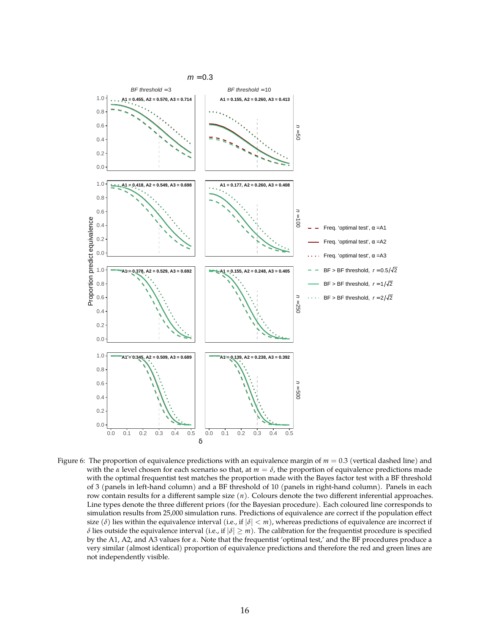

<span id="page-15-0"></span>Figure 6: The proportion of equivalence predictions with an equivalence margin of  $m = 0.3$  (vertical dashed line) and with the *α* level chosen for each scenario so that, at  $m = \delta$ , the proportion of equivalence predictions made with the optimal frequentist test matches the proportion made with the Bayes factor test with a BF threshold of 3 (panels in left-hand column) and a BF threshold of 10 (panels in right-hand column). Panels in each row contain results for a different sample size (*n*). Colours denote the two different inferential approaches. Line types denote the three different priors (for the Bayesian procedure). Each coloured line corresponds to simulation results from 25,000 simulation runs. Predictions of equivalence are correct if the population effect size ( $\delta$ ) lies within the equivalence interval (i.e., if  $|\delta| < m$ ), whereas predictions of equivalence are incorrect if *δ* lies outside the equivalence interval (i.e., if  $|\delta| \ge m$ ). The calibration for the frequentist procedure is specified by the A1, A2, and A3 values for *α*. Note that the frequentist 'optimal test,' and the BF procedures produce a very similar (almost identical) proportion of equivalence predictions and therefore the red and green lines are not independently visible.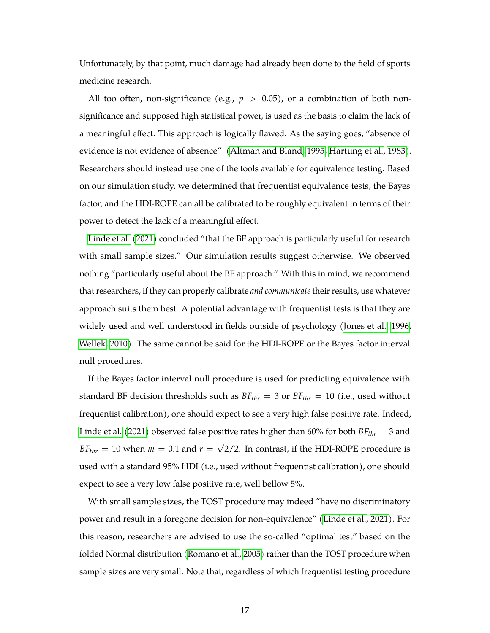Unfortunately, by that point, much damage had already been done to the field of sports medicine research.

All too often, non-significance (e.g.,  $p > 0.05$ ), or a combination of both nonsignificance and supposed high statistical power, is used as the basis to claim the lack of a meaningful effect. This approach is logically flawed. As the saying goes, "absence of evidence is not evidence of absence" [\(Altman and Bland, 1995,](#page-17-3) [Hartung et al., 1983\)](#page-18-5). Researchers should instead use one of the tools available for equivalence testing. Based on our simulation study, we determined that frequentist equivalence tests, the Bayes factor, and the HDI-ROPE can all be calibrated to be roughly equivalent in terms of their power to detect the lack of a meaningful effect.

[Linde et al.](#page-19-0) [\(2021\)](#page-19-0) concluded "that the BF approach is particularly useful for research with small sample sizes." Our simulation results suggest otherwise. We observed nothing "particularly useful about the BF approach." With this in mind, we recommend that researchers, if they can properly calibrate *and communicate* their results, use whatever approach suits them best. A potential advantage with frequentist tests is that they are widely used and well understood in fields outside of psychology [\(Jones et al., 1996,](#page-18-6) [Wellek, 2010\)](#page-20-3). The same cannot be said for the HDI-ROPE or the Bayes factor interval null procedures.

If the Bayes factor interval null procedure is used for predicting equivalence with standard BF decision thresholds such as  $BF_{thr} = 3$  or  $BF_{thr} = 10$  (i.e., used without frequentist calibration), one should expect to see a very high false positive rate. Indeed, [Linde et al.](#page-19-0) [\(2021\)](#page-19-0) observed false positive rates higher than 60% for both *BFthr* = 3 and  $BF_{thr}$  = 10 when  $m = 0.1$  and  $r =$ √ 2/2. In contrast, if the HDI-ROPE procedure is used with a standard 95% HDI (i.e., used without frequentist calibration), one should expect to see a very low false positive rate, well bellow 5%.

With small sample sizes, the TOST procedure may indeed "have no discriminatory power and result in a foregone decision for non-equivalence" [\(Linde et al., 2021\)](#page-19-0). For this reason, researchers are advised to use the so-called "optimal test" based on the folded Normal distribution [\(Romano et al., 2005\)](#page-20-2) rather than the TOST procedure when sample sizes are very small. Note that, regardless of which frequentist testing procedure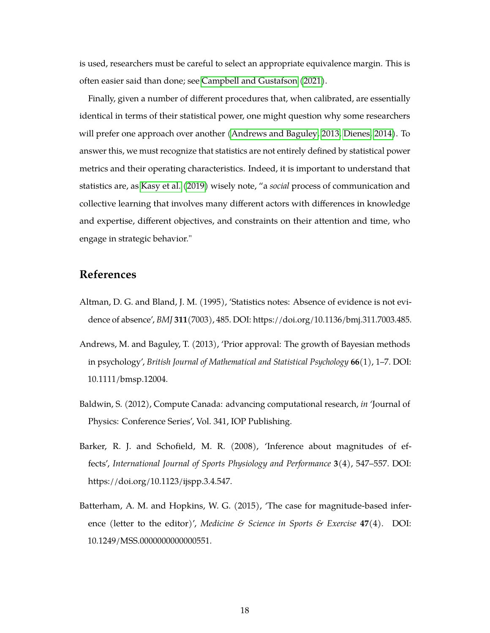is used, researchers must be careful to select an appropriate equivalence margin. This is often easier said than done; see [Campbell and Gustafson](#page-18-7) [\(2021\)](#page-18-7).

Finally, given a number of different procedures that, when calibrated, are essentially identical in terms of their statistical power, one might question why some researchers will prefer one approach over another [\(Andrews and Baguley, 2013,](#page-17-4) [Dienes, 2014\)](#page-18-8). To answer this, we must recognize that statistics are not entirely defined by statistical power metrics and their operating characteristics. Indeed, it is important to understand that statistics are, as [Kasy et al.](#page-18-9) [\(2019\)](#page-18-9) wisely note, "a *social* process of communication and collective learning that involves many different actors with differences in knowledge and expertise, different objectives, and constraints on their attention and time, who engage in strategic behavior."

# **References**

- <span id="page-17-3"></span>Altman, D. G. and Bland, J. M. (1995), 'Statistics notes: Absence of evidence is not evidence of absence', *BMJ* **311**(7003), 485. DOI: https://doi.org/10.1136/bmj.311.7003.485.
- <span id="page-17-4"></span>Andrews, M. and Baguley, T. (2013), 'Prior approval: The growth of Bayesian methods in psychology', *British Journal of Mathematical and Statistical Psychology* **66**(1), 1–7. DOI: 10.1111/bmsp.12004.
- <span id="page-17-0"></span>Baldwin, S. (2012), Compute Canada: advancing computational research, *in* 'Journal of Physics: Conference Series', Vol. 341, IOP Publishing.
- <span id="page-17-1"></span>Barker, R. J. and Schofield, M. R. (2008), 'Inference about magnitudes of effects', *International Journal of Sports Physiology and Performance* **3**(4), 547–557. DOI: https://doi.org/10.1123/ijspp.3.4.547.
- <span id="page-17-2"></span>Batterham, A. M. and Hopkins, W. G. (2015), 'The case for magnitude-based inference (letter to the editor)', *Medicine & Science in Sports & Exercise* **47**(4). DOI: 10.1249/MSS.0000000000000551.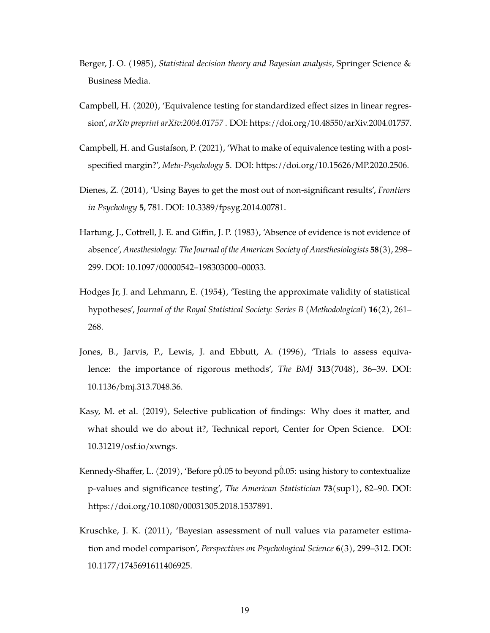- <span id="page-18-4"></span>Berger, J. O. (1985), *Statistical decision theory and Bayesian analysis*, Springer Science & Business Media.
- <span id="page-18-2"></span>Campbell, H. (2020), 'Equivalence testing for standardized effect sizes in linear regression', *arXiv preprint arXiv:2004.01757* . DOI: https://doi.org/10.48550/arXiv.2004.01757.
- <span id="page-18-7"></span>Campbell, H. and Gustafson, P. (2021), 'What to make of equivalence testing with a postspecified margin?', *Meta-Psychology* **5**. DOI: https://doi.org/10.15626/MP.2020.2506.
- <span id="page-18-8"></span>Dienes, Z. (2014), 'Using Bayes to get the most out of non-significant results', *Frontiers in Psychology* **5**, 781. DOI: 10.3389/fpsyg.2014.00781.
- <span id="page-18-5"></span>Hartung, J., Cottrell, J. E. and Giffin, J. P. (1983), 'Absence of evidence is not evidence of absence', *Anesthesiology: The Journal of the American Society of Anesthesiologists* **58**(3), 298– 299. DOI: 10.1097/00000542–198303000–00033.
- <span id="page-18-0"></span>Hodges Jr, J. and Lehmann, E. (1954), 'Testing the approximate validity of statistical hypotheses', *Journal of the Royal Statistical Society: Series B (Methodological)* **16**(2), 261– 268.
- <span id="page-18-6"></span>Jones, B., Jarvis, P., Lewis, J. and Ebbutt, A. (1996), 'Trials to assess equivalence: the importance of rigorous methods', *The BMJ* **313**(7048), 36–39. DOI: 10.1136/bmj.313.7048.36.
- <span id="page-18-9"></span>Kasy, M. et al. (2019), Selective publication of findings: Why does it matter, and what should we do about it?, Technical report, Center for Open Science. DOI: 10.31219/osf.io/xwngs.
- <span id="page-18-3"></span>Kennedy-Shaffer, L.  $(2019)$ , 'Before p0.05 to beyond p0.05: using history to contextualize p-values and significance testing', *The American Statistician* **73**(sup1), 82–90. DOI: https://doi.org/10.1080/00031305.2018.1537891.
- <span id="page-18-1"></span>Kruschke, J. K. (2011), 'Bayesian assessment of null values via parameter estimation and model comparison', *Perspectives on Psychological Science* **6**(3), 299–312. DOI: 10.1177/1745691611406925.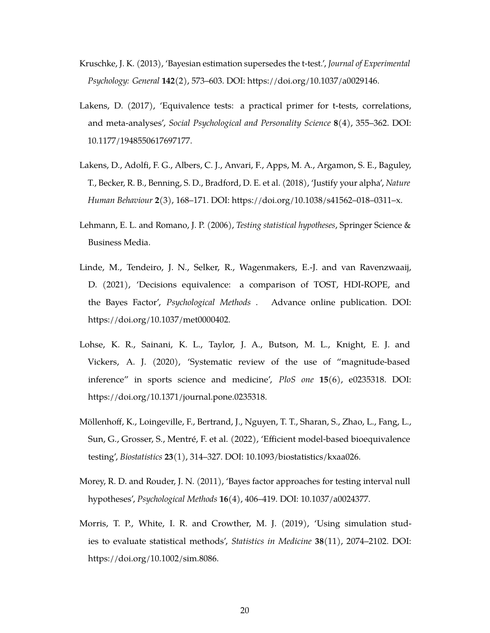- <span id="page-19-1"></span>Kruschke, J. K. (2013), 'Bayesian estimation supersedes the t-test.', *Journal of Experimental Psychology: General* **142**(2), 573–603. DOI: https://doi.org/10.1037/a0029146.
- <span id="page-19-5"></span>Lakens, D. (2017), 'Equivalence tests: a practical primer for t-tests, correlations, and meta-analyses', *Social Psychological and Personality Science* **8**(4), 355–362. DOI: 10.1177/1948550617697177.
- <span id="page-19-7"></span>Lakens, D., Adolfi, F. G., Albers, C. J., Anvari, F., Apps, M. A., Argamon, S. E., Baguley, T., Becker, R. B., Benning, S. D., Bradford, D. E. et al. (2018), 'Justify your alpha', *Nature Human Behaviour* **2**(3), 168–171. DOI: https://doi.org/10.1038/s41562–018–0311–x.
- <span id="page-19-4"></span>Lehmann, E. L. and Romano, J. P. (2006), *Testing statistical hypotheses*, Springer Science & Business Media.
- <span id="page-19-0"></span>Linde, M., Tendeiro, J. N., Selker, R., Wagenmakers, E.-J. and van Ravenzwaaij, D. (2021), 'Decisions equivalence: a comparison of TOST, HDI-ROPE, and the Bayes Factor', *Psychological Methods* . Advance online publication. DOI: https://doi.org/10.1037/met0000402.
- <span id="page-19-8"></span>Lohse, K. R., Sainani, K. L., Taylor, J. A., Butson, M. L., Knight, E. J. and Vickers, A. J. (2020), 'Systematic review of the use of "magnitude-based inference" in sports science and medicine', *PloS one* **15**(6), e0235318. DOI: https://doi.org/10.1371/journal.pone.0235318.
- <span id="page-19-3"></span>Möllenhoff, K., Loingeville, F., Bertrand, J., Nguyen, T. T., Sharan, S., Zhao, L., Fang, L., Sun, G., Grosser, S., Mentré, F. et al. (2022), 'Efficient model-based bioequivalence testing', *Biostatistics* **23**(1), 314–327. DOI: 10.1093/biostatistics/kxaa026.
- <span id="page-19-2"></span>Morey, R. D. and Rouder, J. N. (2011), 'Bayes factor approaches for testing interval null hypotheses', *Psychological Methods* **16**(4), 406–419. DOI: 10.1037/a0024377.
- <span id="page-19-6"></span>Morris, T. P., White, I. R. and Crowther, M. J. (2019), 'Using simulation studies to evaluate statistical methods', *Statistics in Medicine* **38**(11), 2074–2102. DOI: https://doi.org/10.1002/sim.8086.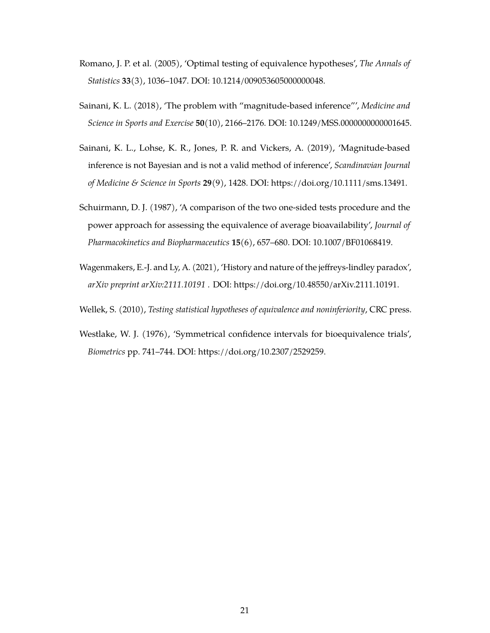- <span id="page-20-2"></span>Romano, J. P. et al. (2005), 'Optimal testing of equivalence hypotheses', *The Annals of Statistics* **33**(3), 1036–1047. DOI: 10.1214/009053605000000048.
- <span id="page-20-5"></span>Sainani, K. L. (2018), 'The problem with "magnitude-based inference"', *Medicine and Science in Sports and Exercise* **50**(10), 2166–2176. DOI: 10.1249/MSS.0000000000001645.
- <span id="page-20-6"></span>Sainani, K. L., Lohse, K. R., Jones, P. R. and Vickers, A. (2019), 'Magnitude-based inference is not Bayesian and is not a valid method of inference', *Scandinavian Journal of Medicine & Science in Sports* **29**(9), 1428. DOI: https://doi.org/10.1111/sms.13491.
- <span id="page-20-0"></span>Schuirmann, D. J. (1987), 'A comparison of the two one-sided tests procedure and the power approach for assessing the equivalence of average bioavailability', *Journal of Pharmacokinetics and Biopharmaceutics* **15**(6), 657–680. DOI: 10.1007/BF01068419.
- <span id="page-20-4"></span>Wagenmakers, E.-J. and Ly, A. (2021), 'History and nature of the jeffreys-lindley paradox', *arXiv preprint arXiv:2111.10191* . DOI: https://doi.org/10.48550/arXiv.2111.10191.
- <span id="page-20-3"></span>Wellek, S. (2010), *Testing statistical hypotheses of equivalence and noninferiority*, CRC press.
- <span id="page-20-1"></span>Westlake, W. J. (1976), 'Symmetrical confidence intervals for bioequivalence trials', *Biometrics* pp. 741–744. DOI: https://doi.org/10.2307/2529259.